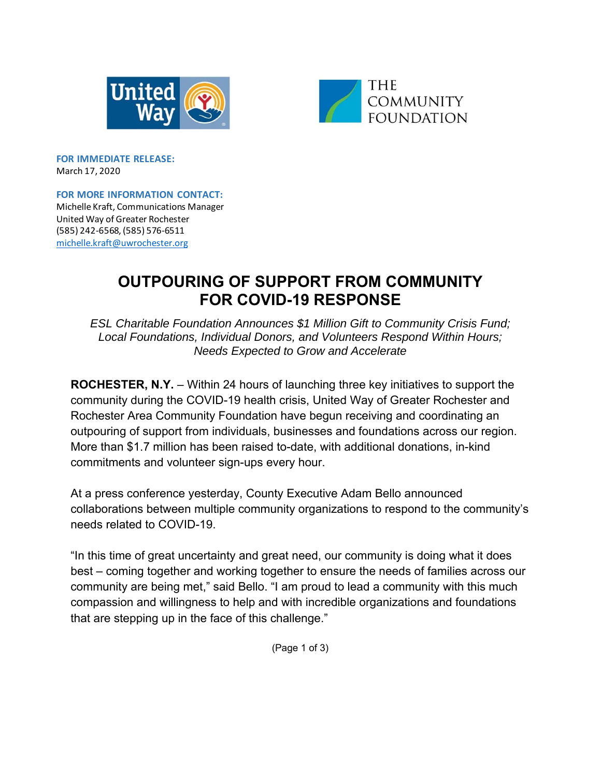



**FOR IMMEDIATE RELEASE:**  March 17, 2020

**FOR MORE INFORMATION CONTACT:** Michelle Kraft, Communications Manager United Way of Greater Rochester (585) 242‐6568, (585) 576‐6511 michelle.kraft@uwrochester.org

## **OUTPOURING OF SUPPORT FROM COMMUNITY FOR COVID-19 RESPONSE**

*ESL Charitable Foundation Announces \$1 Million Gift to Community Crisis Fund; Local Foundations, Individual Donors, and Volunteers Respond Within Hours; Needs Expected to Grow and Accelerate* 

**ROCHESTER, N.Y.** – Within 24 hours of launching three key initiatives to support the community during the COVID-19 health crisis, United Way of Greater Rochester and Rochester Area Community Foundation have begun receiving and coordinating an outpouring of support from individuals, businesses and foundations across our region. More than \$1.7 million has been raised to-date, with additional donations, in-kind commitments and volunteer sign-ups every hour.

At a press conference yesterday, County Executive Adam Bello announced collaborations between multiple community organizations to respond to the community's needs related to COVID-19.

"In this time of great uncertainty and great need, our community is doing what it does best – coming together and working together to ensure the needs of families across our community are being met," said Bello. "I am proud to lead a community with this much compassion and willingness to help and with incredible organizations and foundations that are stepping up in the face of this challenge."

(Page 1 of 3)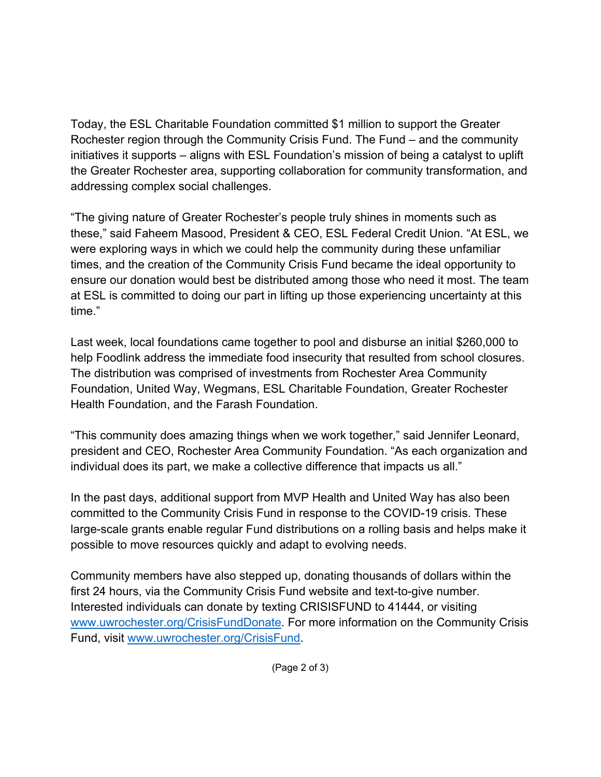Today, the ESL Charitable Foundation committed \$1 million to support the Greater Rochester region through the Community Crisis Fund. The Fund – and the community initiatives it supports – aligns with ESL Foundation's mission of being a catalyst to uplift the Greater Rochester area, supporting collaboration for community transformation, and addressing complex social challenges.

"The giving nature of Greater Rochester's people truly shines in moments such as these," said Faheem Masood, President & CEO, ESL Federal Credit Union. "At ESL, we were exploring ways in which we could help the community during these unfamiliar times, and the creation of the Community Crisis Fund became the ideal opportunity to ensure our donation would best be distributed among those who need it most. The team at ESL is committed to doing our part in lifting up those experiencing uncertainty at this time."

Last week, local foundations came together to pool and disburse an initial \$260,000 to help Foodlink address the immediate food insecurity that resulted from school closures. The distribution was comprised of investments from Rochester Area Community Foundation, United Way, Wegmans, ESL Charitable Foundation, Greater Rochester Health Foundation, and the Farash Foundation.

"This community does amazing things when we work together," said Jennifer Leonard, president and CEO, Rochester Area Community Foundation. "As each organization and individual does its part, we make a collective difference that impacts us all."

In the past days, additional support from MVP Health and United Way has also been committed to the Community Crisis Fund in response to the COVID-19 crisis. These large-scale grants enable regular Fund distributions on a rolling basis and helps make it possible to move resources quickly and adapt to evolving needs.

Community members have also stepped up, donating thousands of dollars within the first 24 hours, via the Community Crisis Fund website and text-to-give number. Interested individuals can donate by texting CRISISFUND to 41444, or visiting www.uwrochester.org/CrisisFundDonate. For more information on the Community Crisis Fund, visit www.uwrochester.org/CrisisFund.